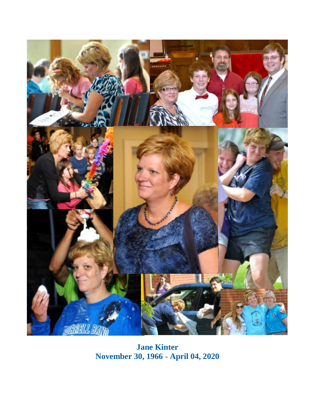

**Jane Kinter November 30, 1966 - April 04, 2020**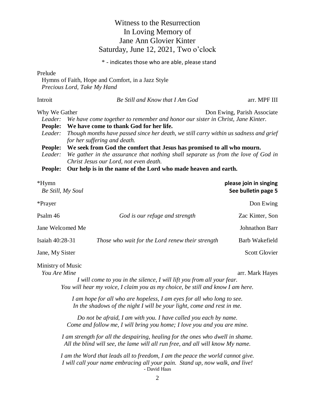## Witness to the Resurrection In Loving Memory of Jane Ann Glovier Kinter Saturday, June 12, 2021, Two o'clock

\* - indicates those who are able, please stand

Hymns of Faith, Hope and Comfort, in a Jazz Style *Precious Lord, Take My Hand*

| Introit        | Be Still and Know that I Am God                                                        | arr. MPF III                |  |  |
|----------------|----------------------------------------------------------------------------------------|-----------------------------|--|--|
| Why We Gather  |                                                                                        | Don Ewing, Parish Associate |  |  |
|                | Leader: We have come together to remember and honor our sister in Christ, Jane Kinter. |                             |  |  |
| <b>People:</b> | We have come to thank God for her life.                                                |                             |  |  |
| Leader:        | Though months have passed since her death, we still carry within us sadness and grief  |                             |  |  |
|                | for her suffering and death.                                                           |                             |  |  |
| <b>People:</b> | We seek from God the comfort that Jesus has promised to all who mourn.                 |                             |  |  |
| Leader:        | We gather in the assurance that nothing shall separate us from the love of God in      |                             |  |  |
|                | Christ Jesus our Lord, not even death.                                                 |                             |  |  |
| People:        | Our help is in the name of the Lord who made heaven and earth.                         |                             |  |  |

| $*Hymn$<br>Be Still, My Soul |                                                  | please join in singing<br>See bulletin page 5 |
|------------------------------|--------------------------------------------------|-----------------------------------------------|
| *Prayer                      |                                                  | Don Ewing                                     |
| Psalm 46                     | God is our refuge and strength                   | Zac Kinter, Son                               |
| Jane Welcomed Me             |                                                  | Johnathon Barr                                |
| Isaiah 40:28-31              | Those who wait for the Lord renew their strength | Barb Wakefield                                |
| Jane, My Sister              |                                                  | <b>Scott Glovier</b>                          |
| Ministry of Music            |                                                  |                                               |

*You Are Mine* arr. Mark Hayes

*I will come to you in the silence, I will lift you from all your fear. You will hear my voice, I claim you as my choice, be still and know I am here.*

*I am hope for all who are hopeless, I am eyes for all who long to see. In the shadows of the night I will be your light, come and rest in me.*

*Do not be afraid, I am with you. I have called you each by name. Come and follow me, I will bring you home; I love you and you are mine.*

*I am strength for all the despairing, healing for the ones who dwell in shame. All the blind will see, the lame will all run free, and all will know My name.*

*I am the Word that leads all to freedom, I am the peace the world cannot give. I will call your name embracing all your pain. Stand up, now walk, and live!* - David Haas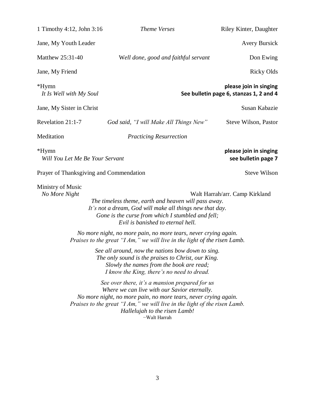| 1 Timothy 4:12, John 3:16                                                                                                                                                                                                                                                                                                                                                                                                                                                                                                                                                                                                                                                                                                                                                                                                                                                                                                                  | <b>Theme Verses</b>                    | <b>Riley Kinter, Daughter</b>                                     |  |
|--------------------------------------------------------------------------------------------------------------------------------------------------------------------------------------------------------------------------------------------------------------------------------------------------------------------------------------------------------------------------------------------------------------------------------------------------------------------------------------------------------------------------------------------------------------------------------------------------------------------------------------------------------------------------------------------------------------------------------------------------------------------------------------------------------------------------------------------------------------------------------------------------------------------------------------------|----------------------------------------|-------------------------------------------------------------------|--|
| Jane, My Youth Leader                                                                                                                                                                                                                                                                                                                                                                                                                                                                                                                                                                                                                                                                                                                                                                                                                                                                                                                      |                                        | <b>Avery Bursick</b>                                              |  |
| Matthew 25:31-40                                                                                                                                                                                                                                                                                                                                                                                                                                                                                                                                                                                                                                                                                                                                                                                                                                                                                                                           | Well done, good and faithful servant   | Don Ewing                                                         |  |
| Jane, My Friend                                                                                                                                                                                                                                                                                                                                                                                                                                                                                                                                                                                                                                                                                                                                                                                                                                                                                                                            |                                        | <b>Ricky Olds</b>                                                 |  |
| $*Hymn$<br>It Is Well with My Soul                                                                                                                                                                                                                                                                                                                                                                                                                                                                                                                                                                                                                                                                                                                                                                                                                                                                                                         |                                        | please join in singing<br>See bulletin page 6, stanzas 1, 2 and 4 |  |
| Jane, My Sister in Christ                                                                                                                                                                                                                                                                                                                                                                                                                                                                                                                                                                                                                                                                                                                                                                                                                                                                                                                  |                                        | Susan Kabazie                                                     |  |
| Revelation 21:1-7                                                                                                                                                                                                                                                                                                                                                                                                                                                                                                                                                                                                                                                                                                                                                                                                                                                                                                                          | God said, "I will Make All Things New" | Steve Wilson, Pastor                                              |  |
| Meditation                                                                                                                                                                                                                                                                                                                                                                                                                                                                                                                                                                                                                                                                                                                                                                                                                                                                                                                                 | <b>Practicing Resurrection</b>         |                                                                   |  |
| $*Hymn$<br>Will You Let Me Be Your Servant                                                                                                                                                                                                                                                                                                                                                                                                                                                                                                                                                                                                                                                                                                                                                                                                                                                                                                 |                                        | please join in singing<br>see bulletin page 7                     |  |
| Prayer of Thanksgiving and Commendation                                                                                                                                                                                                                                                                                                                                                                                                                                                                                                                                                                                                                                                                                                                                                                                                                                                                                                    |                                        | <b>Steve Wilson</b>                                               |  |
| Ministry of Music<br>No More Night<br>Walt Harrah/arr. Camp Kirkland<br>The timeless theme, earth and heaven will pass away.<br>It's not a dream, God will make all things new that day.<br>Gone is the curse from which I stumbled and fell;<br>Evil is banished to eternal hell.<br>No more night, no more pain, no more tears, never crying again.<br>Praises to the great "I Am," we will live in the light of the risen Lamb.<br>See all around, now the nations bow down to sing.<br>The only sound is the praises to Christ, our King.<br>Slowly the names from the book are read;<br>I know the King, there's no need to dread.<br>See over there, it's a mansion prepared for us<br>Where we can live with our Savior eternally.<br>No more night, no more pain, no more tears, never crying again.<br>Praises to the great "I Am," we will live in the light of the risen Lamb.<br>Hallelujah to the risen Lamb!<br>-Walt Harrah |                                        |                                                                   |  |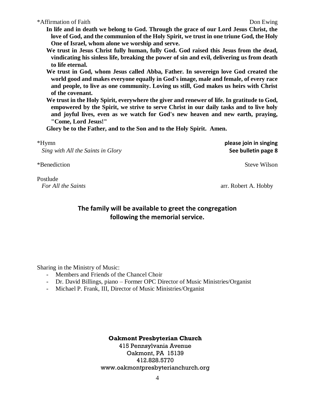\*Affirmation of Faith **Don Ewing** 

**In life and in death we belong to God. Through the grace of our Lord Jesus Christ, the love of God, and the communion of the Holy Spirit, we trust in one triune God, the Holy One of Israel, whom alone we worship and serve.**

- **We trust in Jesus Christ fully human, fully God. God raised this Jesus from the dead, vindicating his sinless life, breaking the power of sin and evil, delivering us from death to life eternal.**
- **We trust in God, whom Jesus called Abba, Father. In sovereign love God created the world good and makes everyone equally in God's image, male and female, of every race and people, to live as one community. Loving us still, God makes us heirs with Christ of the covenant.**
- **We trust in the Holy Spirit, everywhere the giver and renewer of life. In gratitude to God, empowered by the Spirit, we strive to serve Christ in our daily tasks and to live holy and joyful lives, even as we watch for God's new heaven and new earth, praying, "Come, Lord Jesus!"**

**Glory be to the Father, and to the Son and to the Holy Spirit. Amen.**

\*Hymn **please join in singing**

*Sing with All the Saints in Glory* **See bulletin page 8 See bulletin page 8** 

\*Benediction Steve Wilson

Postlude

*For All the Saints* arr. Robert A. Hobby

## **The family will be available to greet the congregation following the memorial service.**

Sharing in the Ministry of Music:

- Members and Friends of the Chancel Choir
- Dr. David Billings, piano Former OPC Director of Music Ministries/Organist
- Michael P. Frank, III, Director of Music Ministries/Organist

## **Oakmont Presbyterian Church**

415 Pennsylvania Avenue Oakmont, PA 15139 412.828.5770 www.oakmontpresbyterianchurch.org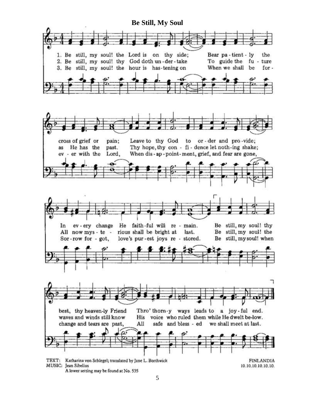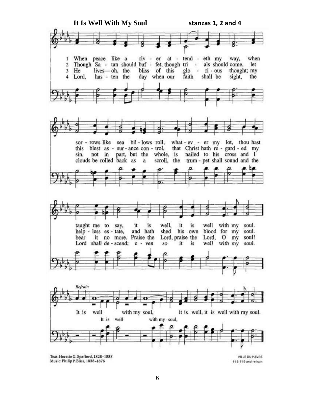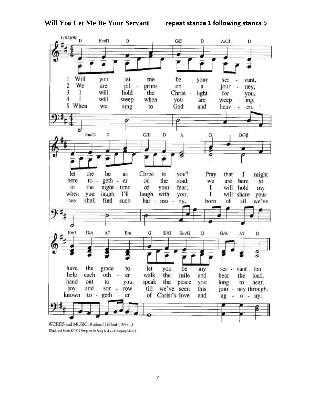

Words and Music @ 1977 Scripture In Song (a div. of Integrity Music)